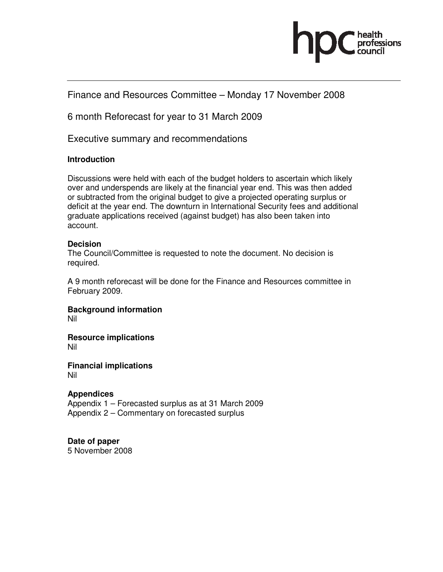

# Finance and Resources Committee – Monday 17 November 2008

6 month Reforecast for year to 31 March 2009

Executive summary and recommendations

## **Introduction**

Discussions were held with each of the budget holders to ascertain which likely over and underspends are likely at the financial year end. This was then added or subtracted from the original budget to give a projected operating surplus or deficit at the year end. The downturn in International Security fees and additional graduate applications received (against budget) has also been taken into account.

# **Decision**

The Council/Committee is requested to note the document. No decision is required.

A 9 month reforecast will be done for the Finance and Resources committee in February 2009.

**Background information**  Nil

**Resource implications**  Nil

**Financial implications**  Nil

**Appendices**  Appendix 1 – Forecasted surplus as at 31 March 2009 Appendix 2 – Commentary on forecasted surplus

# **Date of paper**

5 November 2008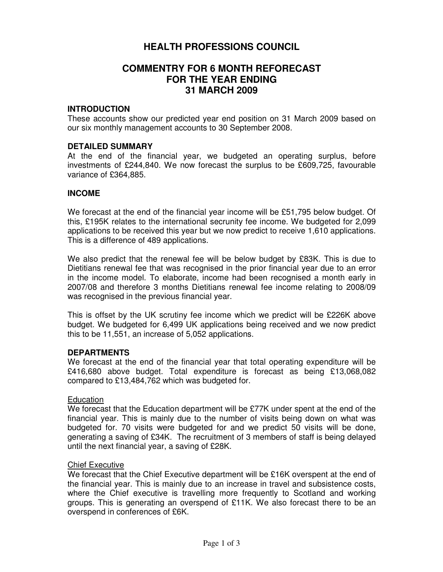# **HEALTH PROFESSIONS COUNCIL**

# **COMMENTRY FOR 6 MONTH REFORECAST FOR THE YEAR ENDING 31 MARCH 2009**

#### **INTRODUCTION**

These accounts show our predicted year end position on 31 March 2009 based on our six monthly management accounts to 30 September 2008.

#### **DETAILED SUMMARY**

At the end of the financial year, we budgeted an operating surplus, before investments of £244,840. We now forecast the surplus to be £609,725, favourable variance of £364,885.

#### **INCOME**

We forecast at the end of the financial year income will be £51,795 below budget. Of this, £195K relates to the international secrunity fee income. We budgeted for 2,099 applications to be received this year but we now predict to receive 1,610 applications. This is a difference of 489 applications.

We also predict that the renewal fee will be below budget by £83K. This is due to Dietitians renewal fee that was recognised in the prior financial year due to an error in the income model. To elaborate, income had been recognised a month early in 2007/08 and therefore 3 months Dietitians renewal fee income relating to 2008/09 was recognised in the previous financial year.

This is offset by the UK scrutiny fee income which we predict will be £226K above budget. We budgeted for 6,499 UK applications being received and we now predict this to be 11,551, an increase of 5,052 applications.

## **DEPARTMENTS**

We forecast at the end of the financial year that total operating expenditure will be £416,680 above budget. Total expenditure is forecast as being £13,068,082 compared to £13,484,762 which was budgeted for.

#### Education

We forecast that the Education department will be £77K under spent at the end of the financial year. This is mainly due to the number of visits being down on what was budgeted for. 70 visits were budgeted for and we predict 50 visits will be done, generating a saving of £34K. The recruitment of 3 members of staff is being delayed until the next financial year, a saving of £28K.

#### Chief Executive

We forecast that the Chief Executive department will be £16K overspent at the end of the financial year. This is mainly due to an increase in travel and subsistence costs, where the Chief executive is travelling more frequently to Scotland and working groups. This is generating an overspend of £11K. We also forecast there to be an overspend in conferences of £6K.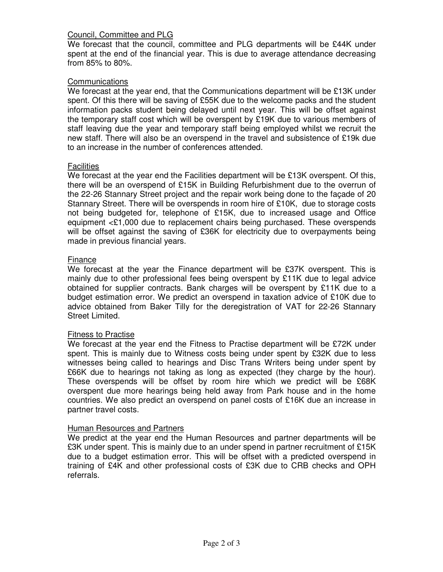# Council, Committee and PLG

We forecast that the council, committee and PLG departments will be £44K under spent at the end of the financial year. This is due to average attendance decreasing from 85% to 80%.

## **Communications**

We forecast at the year end, that the Communications department will be £13K under spent. Of this there will be saving of £55K due to the welcome packs and the student information packs student being delayed until next year. This will be offset against the temporary staff cost which will be overspent by £19K due to various members of staff leaving due the year and temporary staff being employed whilst we recruit the new staff. There will also be an overspend in the travel and subsistence of £19k due to an increase in the number of conferences attended.

## **Facilities**

We forecast at the year end the Facilities department will be £13K overspent. Of this, there will be an overspend of £15K in Building Refurbishment due to the overrun of the 22-26 Stannary Street project and the repair work being done to the façade of 20 Stannary Street. There will be overspends in room hire of £10K, due to storage costs not being budgeted for, telephone of £15K, due to increased usage and Office equipment <£1,000 due to replacement chairs being purchased. These overspends will be offset against the saving of £36K for electricity due to overpayments being made in previous financial years.

## Finance

We forecast at the year the Finance department will be £37K overspent. This is mainly due to other professional fees being overspent by £11K due to legal advice obtained for supplier contracts. Bank charges will be overspent by £11K due to a budget estimation error. We predict an overspend in taxation advice of £10K due to advice obtained from Baker Tilly for the deregistration of VAT for 22-26 Stannary Street Limited.

## Fitness to Practise

We forecast at the year end the Fitness to Practise department will be £72K under spent. This is mainly due to Witness costs being under spent by £32K due to less witnesses being called to hearings and Disc Trans Writers being under spent by £66K due to hearings not taking as long as expected (they charge by the hour). These overspends will be offset by room hire which we predict will be £68K overspent due more hearings being held away from Park house and in the home countries. We also predict an overspend on panel costs of £16K due an increase in partner travel costs.

## Human Resources and Partners

We predict at the year end the Human Resources and partner departments will be £3K under spent. This is mainly due to an under spend in partner recruitment of £15K due to a budget estimation error. This will be offset with a predicted overspend in training of £4K and other professional costs of £3K due to CRB checks and OPH referrals.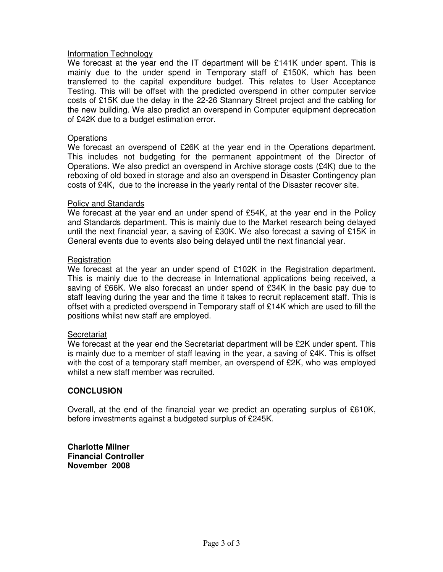## Information Technology

We forecast at the year end the IT department will be £141K under spent. This is mainly due to the under spend in Temporary staff of £150K, which has been transferred to the capital expenditure budget. This relates to User Acceptance Testing. This will be offset with the predicted overspend in other computer service costs of £15K due the delay in the 22-26 Stannary Street project and the cabling for the new building. We also predict an overspend in Computer equipment deprecation of £42K due to a budget estimation error.

#### **Operations**

We forecast an overspend of £26K at the year end in the Operations department. This includes not budgeting for the permanent appointment of the Director of Operations. We also predict an overspend in Archive storage costs (£4K) due to the reboxing of old boxed in storage and also an overspend in Disaster Contingency plan costs of £4K, due to the increase in the yearly rental of the Disaster recover site.

#### Policy and Standards

We forecast at the year end an under spend of £54K, at the year end in the Policy and Standards department. This is mainly due to the Market research being delayed until the next financial year, a saving of £30K. We also forecast a saving of £15K in General events due to events also being delayed until the next financial year.

#### Registration

We forecast at the year an under spend of £102K in the Registration department. This is mainly due to the decrease in International applications being received, a saving of £66K. We also forecast an under spend of £34K in the basic pay due to staff leaving during the year and the time it takes to recruit replacement staff. This is offset with a predicted overspend in Temporary staff of £14K which are used to fill the positions whilst new staff are employed.

## Secretariat

We forecast at the year end the Secretariat department will be £2K under spent. This is mainly due to a member of staff leaving in the year, a saving of £4K. This is offset with the cost of a temporary staff member, an overspend of £2K, who was employed whilst a new staff member was recruited.

## **CONCLUSION**

Overall, at the end of the financial year we predict an operating surplus of £610K, before investments against a budgeted surplus of £245K.

**Charlotte Milner Financial Controller November 2008**